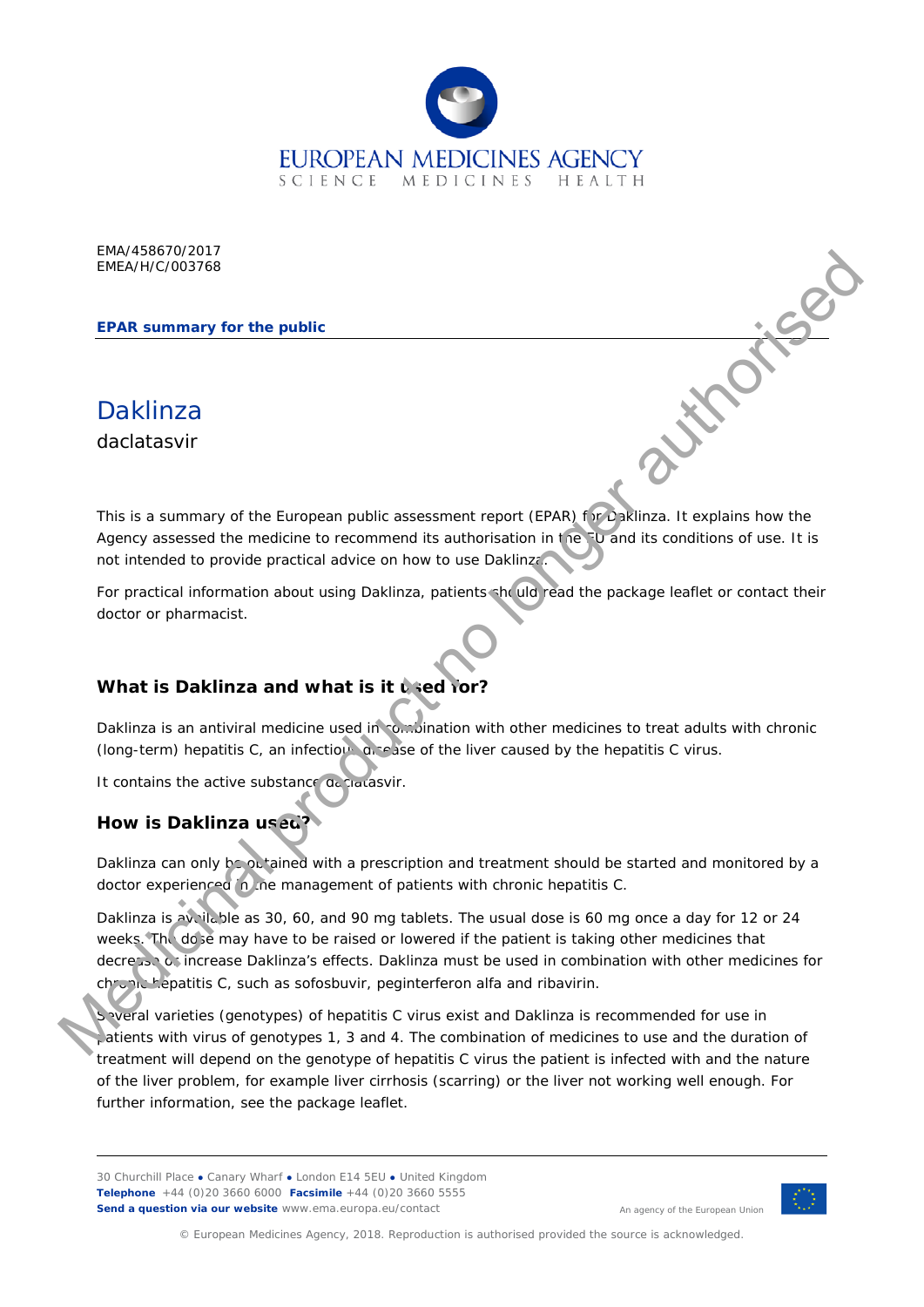

EMA/458670/2017 EMEA/H/C/003768

**EPAR summary for the public**

**Daklinza** 

daclatasvir

This is a summary of the European public assessment report (EPAR) for Daklinza. It explains how the Agency assessed the medicine to recommend its authorisation in the FU and its conditions of use. It is not intended to provide practical advice on how to use Daklinza.

For practical information about using Daklinza, patients should read the package leaflet or contact their doctor or pharmacist.

# **What is Daklinza and what is it used for?**

Daklinza is an antiviral medicine used in combination with other medicines to treat adults with chronic (long-term) hepatitis C, an infectious disease of the liver caused by the hepatitis C virus.

It contains the active substance declarasvir.

# **How is Daklinza used?**

Daklinza can only be obtained with a prescription and treatment should be started and monitored by a doctor experienced in the management of patients with chronic hepatitis C.

Daklinza is available as 30, 60, and 90 mg tablets. The usual dose is 60 mg once a day for 12 or 24 weeks. The dose may have to be raised or lowered if the patient is taking other medicines that decrease or increase Daklinza's effects. Daklinza must be used in combination with other medicines for chronic hepatitis C, such as sofosbuvir, peginterferon alfa and ribavirin. EPAR summary for the public<br>
MEANIC/033788<br>
The Kis a summary of the turopean public assessment report (EPAR)<br>
The Kis a authorise of the reduction of the commental is subtraction in the particle is conditions of two It is

Several varieties (genotypes) of hepatitis C virus exist and Daklinza is recommended for use in patients with virus of genotypes 1, 3 and 4. The combination of medicines to use and the duration of treatment will depend on the genotype of hepatitis C virus the patient is infected with and the nature of the liver problem, for example liver cirrhosis (scarring) or the liver not working well enough. For further information, see the package leaflet.

30 Churchill Place **●** Canary Wharf **●** London E14 5EU **●** United Kingdom **Telephone** +44 (0)20 3660 6000 **Facsimile** +44 (0)20 3660 5555 **Send a question via our website** www.ema.europa.eu/contact



An agency of the European Union

© European Medicines Agency, 2018. Reproduction is authorised provided the source is acknowledged.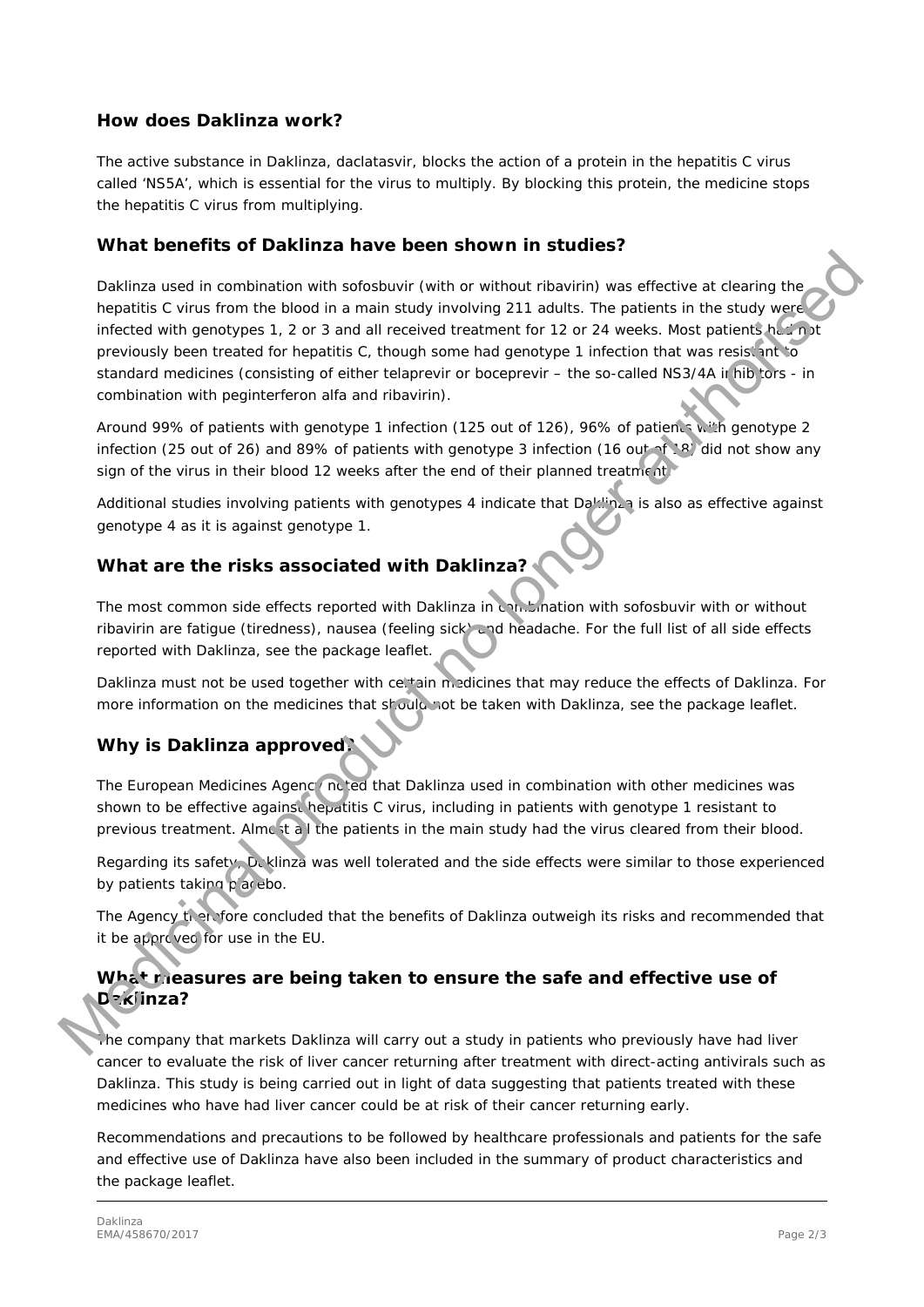#### **How does Daklinza work?**

The active substance in Daklinza, daclatasvir, blocks the action of a protein in the hepatitis C virus called 'NS5A', which is essential for the virus to multiply. By blocking this protein, the medicine stops the hepatitis C virus from multiplying.

#### **What benefits of Daklinza have been shown in studies?**

Daklinza used in combination with sofosbuvir (with or without ribavirin) was effective at clearing the hepatitis C virus from the blood in a main study involving 211 adults. The patients in the study were infected with genotypes 1, 2 or 3 and all received treatment for 12 or 24 weeks. Most patients had not previously been treated for hepatitis C, though some had genotype 1 infection that was resistant to standard medicines (consisting of either telaprevir or boceprevir – the so-called NS3/4A in hibitors - in combination with peginterferon alfa and ribavirin). The term of the virtual production with software and the virtual change is the state of the constrained by the company in the state state of the particles in the state week and the production of the particles of the partic

Around 99% of patients with genotype 1 infection (125 out of 126), 96% of patients with genotype 2 infection (25 out of 26) and 89% of patients with genotype 3 infection (16 out of 18) did not show any sign of the virus in their blood 12 weeks after the end of their planned treatment.

Additional studies involving patients with genotypes 4 indicate that Daklinza is also as effective against genotype 4 as it is against genotype 1.

## **What are the risks associated with Daklinza?**

The most common side effects reported with Daklinza in conditionation with sofosbuvir with or without ribavirin are fatigue (tiredness), nausea (feeling sick) and headache. For the full list of all side effects reported with Daklinza, see the package leaflet.

Daklinza must not be used together with celtain medicines that may reduce the effects of Daklinza. For more information on the medicines that should not be taken with Daklinza, see the package leaflet.

# **Why is Daklinza approved?**

The European Medicines Agenc (noted that Daklinza used in combination with other medicines was shown to be effective against hepatitis C virus, including in patients with genotype 1 resistant to previous treatment. Almost all the patients in the main study had the virus cleared from their blood.

Regarding its safety, D. klinza was well tolerated and the side effects were similar to those experienced by patients taking placebo.

The Agency therefore concluded that the benefits of Daklinza outweigh its risks and recommended that it be approved for use in the EU.

### **What measures are being taken to ensure the safe and effective use of Daklinza?**

The company that markets Daklinza will carry out a study in patients who previously have had liver cancer to evaluate the risk of liver cancer returning after treatment with direct-acting antivirals such as Daklinza. This study is being carried out in light of data suggesting that patients treated with these medicines who have had liver cancer could be at risk of their cancer returning early.

Recommendations and precautions to be followed by healthcare professionals and patients for the safe and effective use of Daklinza have also been included in the summary of product characteristics and the package leaflet.